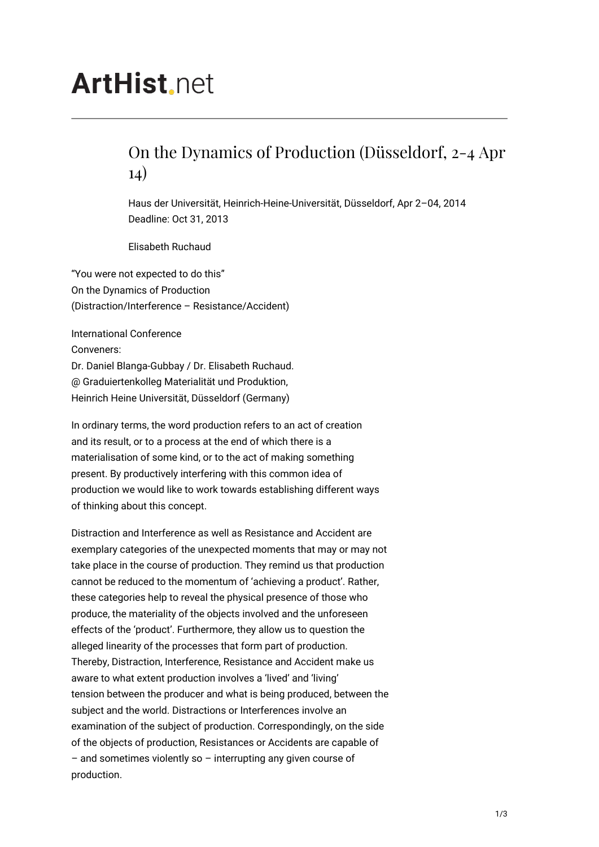## **ArtHist** net

## On the Dynamics of Production (Düsseldorf, 2-4 Apr 14)

Haus der Universität, Heinrich-Heine-Universität, Düsseldorf, Apr 2–04, 2014 Deadline: Oct 31, 2013

Elisabeth Ruchaud

"You were not expected to do this" On the Dynamics of Production (Distraction/Interference – Resistance/Accident)

International Conference Conveners: Dr. Daniel Blanga-Gubbay / Dr. Elisabeth Ruchaud. @ Graduiertenkolleg Materialität und Produktion, Heinrich Heine Universität, Düsseldorf (Germany)

In ordinary terms, the word production refers to an act of creation and its result, or to a process at the end of which there is a materialisation of some kind, or to the act of making something present. By productively interfering with this common idea of production we would like to work towards establishing different ways of thinking about this concept.

Distraction and Interference as well as Resistance and Accident are exemplary categories of the unexpected moments that may or may not take place in the course of production. They remind us that production cannot be reduced to the momentum of 'achieving a product'. Rather, these categories help to reveal the physical presence of those who produce, the materiality of the objects involved and the unforeseen effects of the 'product'. Furthermore, they allow us to question the alleged linearity of the processes that form part of production. Thereby, Distraction, Interference, Resistance and Accident make us aware to what extent production involves a 'lived' and 'living' tension between the producer and what is being produced, between the subject and the world. Distractions or Interferences involve an examination of the subject of production. Correspondingly, on the side of the objects of production, Resistances or Accidents are capable of  $-$  and sometimes violently so  $-$  interrupting any given course of production.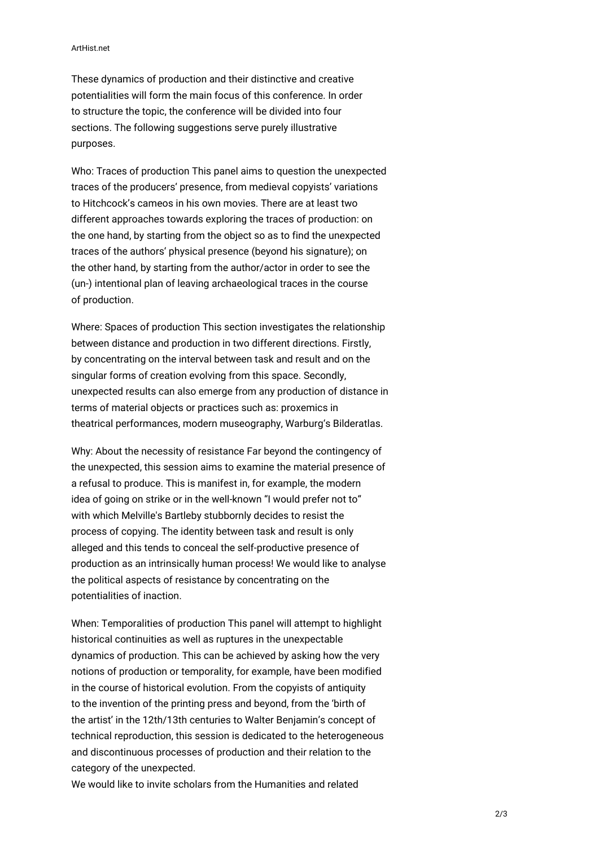## ArtHist.net

These dynamics of production and their distinctive and creative potentialities will form the main focus of this conference. In order to structure the topic, the conference will be divided into four sections. The following suggestions serve purely illustrative purposes.

Who: Traces of production This panel aims to question the unexpected traces of the producers' presence, from medieval copyists' variations to Hitchcock's cameos in his own movies. There are at least two different approaches towards exploring the traces of production: on the one hand, by starting from the object so as to find the unexpected traces of the authors' physical presence (beyond his signature); on the other hand, by starting from the author/actor in order to see the (un-) intentional plan of leaving archaeological traces in the course of production.

Where: Spaces of production This section investigates the relationship between distance and production in two different directions. Firstly, by concentrating on the interval between task and result and on the singular forms of creation evolving from this space. Secondly, unexpected results can also emerge from any production of distance in terms of material objects or practices such as: proxemics in theatrical performances, modern museography, Warburg's Bilderatlas.

Why: About the necessity of resistance Far beyond the contingency of the unexpected, this session aims to examine the material presence of a refusal to produce. This is manifest in, for example, the modern idea of going on strike or in the well-known "I would prefer not to" with which Melville's Bartleby stubbornly decides to resist the process of copying. The identity between task and result is only alleged and this tends to conceal the self-productive presence of production as an intrinsically human process! We would like to analyse the political aspects of resistance by concentrating on the potentialities of inaction.

When: Temporalities of production This panel will attempt to highlight historical continuities as well as ruptures in the unexpectable dynamics of production. This can be achieved by asking how the very notions of production or temporality, for example, have been modified in the course of historical evolution. From the copyists of antiquity to the invention of the printing press and beyond, from the 'birth of the artist' in the 12th/13th centuries to Walter Benjamin's concept of technical reproduction, this session is dedicated to the heterogeneous and discontinuous processes of production and their relation to the category of the unexpected.

We would like to invite scholars from the Humanities and related